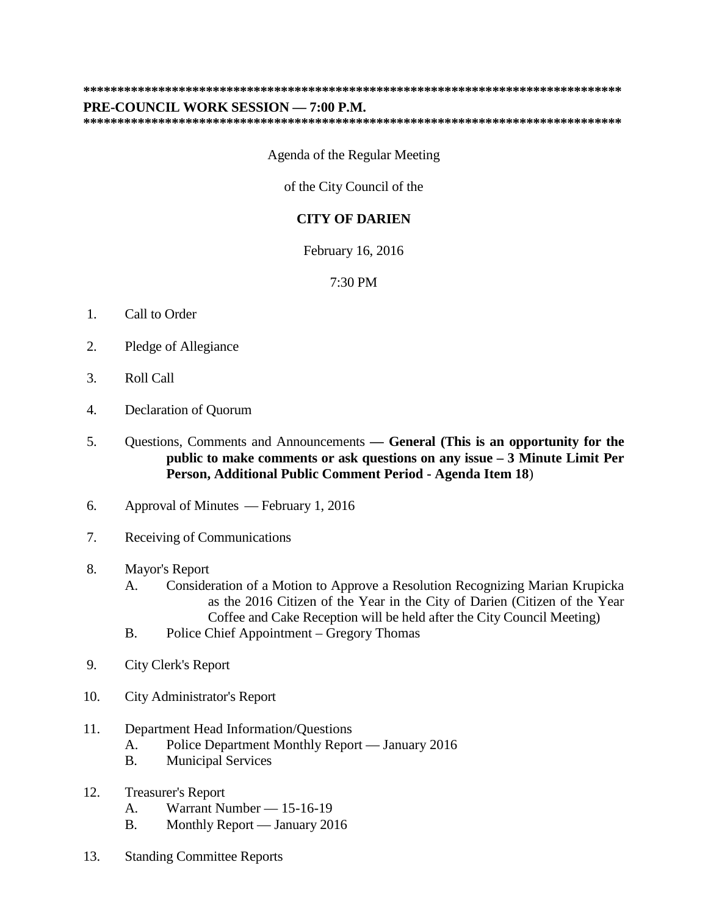## **\*\*\*\*\*\*\*\*\*\*\*\*\*\*\*\*\*\*\*\*\*\*\*\*\*\*\*\*\*\*\*\*\*\*\*\*\*\*\*\*\*\*\*\*\*\*\*\*\*\*\*\*\*\*\*\*\*\*\*\*\*\*\*\*\*\*\*\*\*\*\*\*\*\*\*\*\*\*\***

## **PRE-COUNCIL WORK SESSION — 7:00 P.M.**

**\*\*\*\*\*\*\*\*\*\*\*\*\*\*\*\*\*\*\*\*\*\*\*\*\*\*\*\*\*\*\*\*\*\*\*\*\*\*\*\*\*\*\*\*\*\*\*\*\*\*\*\*\*\*\*\*\*\*\*\*\*\*\*\*\*\*\*\*\*\*\*\*\*\*\*\*\*\*\***

## Agenda of the Regular Meeting

of the City Council of the

## **CITY OF DARIEN**

February 16, 2016

7:30 PM

- 1. Call to Order
- 2. Pledge of Allegiance
- 3. Roll Call
- 4. Declaration of Quorum
- 5. Questions, Comments and Announcements **— General (This is an opportunity for the public to make comments or ask questions on any issue – 3 Minute Limit Per Person, Additional Public Comment Period - Agenda Item 18**)
- 6. Approval of Minutes February 1, 2016
- 7. Receiving of Communications
- 8. Mayor's Report
	- A. Consideration of a Motion to Approve a Resolution Recognizing Marian Krupicka as the 2016 Citizen of the Year in the City of Darien (Citizen of the Year Coffee and Cake Reception will be held after the City Council Meeting)
	- B. Police Chief Appointment Gregory Thomas
- 9. City Clerk's Report
- 10. City Administrator's Report
- 11. Department Head Information/Questions
	- A. Police Department Monthly Report January 2016
	- B. Municipal Services
- 12. Treasurer's Report
	- A. Warrant Number 15-16-19
	- B. Monthly Report January 2016
- 13. Standing Committee Reports